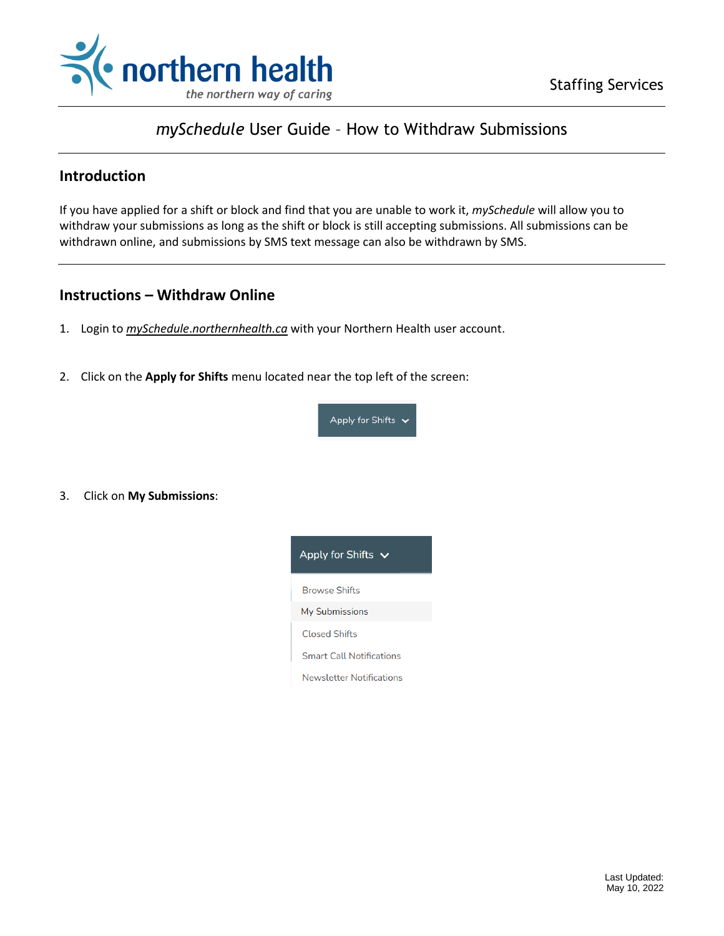



# *mySchedule* User Guide – How to Withdraw Submissions

### **Introduction**

If you have applied for a shift or block and find that you are unable to work it, *mySchedule* will allow you to withdraw your submissions as long as the shift or block is still accepting submissions. All submissions can be withdrawn online, and submissions by SMS text message can also be withdrawn by SMS.

# **Instructions – Withdraw Online**

- 1. Login to *mySchedule*.*northernhealth.ca* with your Northern Health user account.
- 2. Click on the **Apply for Shifts** menu located near the top left of the screen:



3. Click on **My Submissions**:

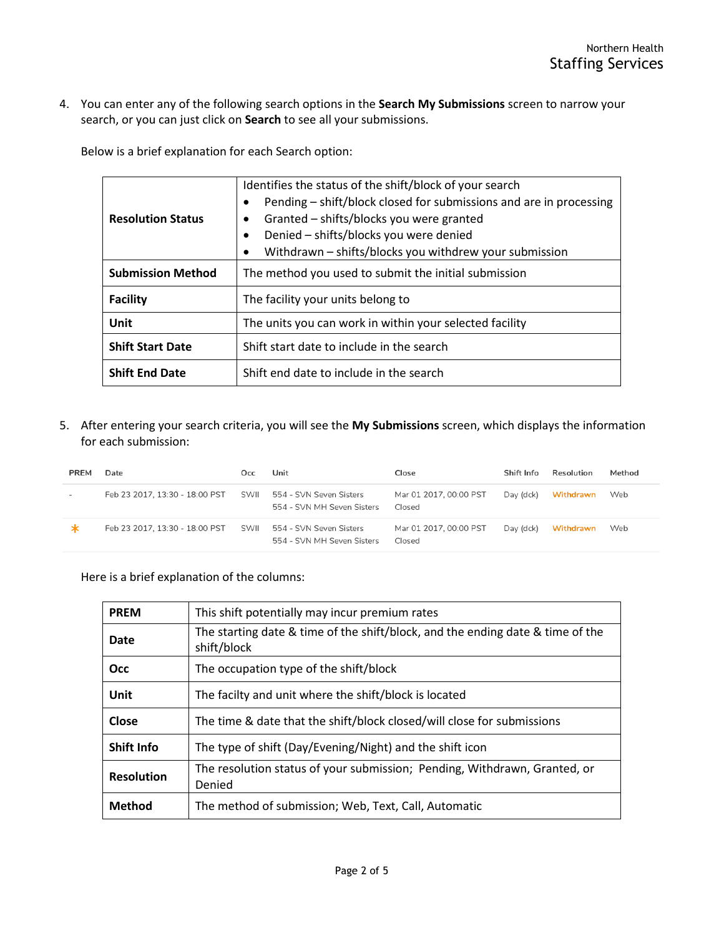4. You can enter any of the following search options in the **Search My Submissions** screen to narrow your search, or you can just click on **Search** to see all your submissions.

Below is a brief explanation for each Search option:

| <b>Resolution Status</b> | Identifies the status of the shift/block of your search<br>Pending – shift/block closed for submissions and are in processing<br>٠<br>Granted - shifts/blocks you were granted<br>٠<br>Denied - shifts/blocks you were denied<br>$\bullet$<br>Withdrawn - shifts/blocks you withdrew your submission<br>$\bullet$ |  |  |
|--------------------------|-------------------------------------------------------------------------------------------------------------------------------------------------------------------------------------------------------------------------------------------------------------------------------------------------------------------|--|--|
| <b>Submission Method</b> | The method you used to submit the initial submission                                                                                                                                                                                                                                                              |  |  |
| <b>Facility</b>          | The facility your units belong to                                                                                                                                                                                                                                                                                 |  |  |
| Unit                     | The units you can work in within your selected facility                                                                                                                                                                                                                                                           |  |  |
| <b>Shift Start Date</b>  | Shift start date to include in the search                                                                                                                                                                                                                                                                         |  |  |
| <b>Shift End Date</b>    | Shift end date to include in the search                                                                                                                                                                                                                                                                           |  |  |

5. After entering your search criteria, you will see the **My Submissions** screen, which displays the information for each submission:

| <b>PREM</b>              | Date                           | Occ  | Unit                                                  | Close                            | Shift Info | Resolution | Method |
|--------------------------|--------------------------------|------|-------------------------------------------------------|----------------------------------|------------|------------|--------|
| $\overline{\phantom{a}}$ | Feb 23 2017, 13:30 - 18:00 PST | SWII | 554 - SVN Seven Sisters<br>554 - SVN MH Seven Sisters | Mar 01 2017, 00:00 PST<br>Closed | Day (dck)  | Withdrawn  | Web    |
| ∗                        | Feb 23 2017, 13:30 - 18:00 PST | SWII | 554 - SVN Seven Sisters<br>554 - SVN MH Seven Sisters | Mar 01 2017, 00:00 PST<br>Closed | Day (dck)  | Withdrawn  | Web    |

Here is a brief explanation of the columns:

| <b>PREM</b>       | This shift potentially may incur premium rates                                                |
|-------------------|-----------------------------------------------------------------------------------------------|
| <b>Date</b>       | The starting date & time of the shift/block, and the ending date & time of the<br>shift/block |
| <b>Occ</b>        | The occupation type of the shift/block                                                        |
| Unit              | The facilty and unit where the shift/block is located                                         |
| Close             | The time & date that the shift/block closed/will close for submissions                        |
| <b>Shift Info</b> | The type of shift (Day/Evening/Night) and the shift icon                                      |
| <b>Resolution</b> | The resolution status of your submission; Pending, Withdrawn, Granted, or<br>Denied           |
| <b>Method</b>     | The method of submission; Web, Text, Call, Automatic                                          |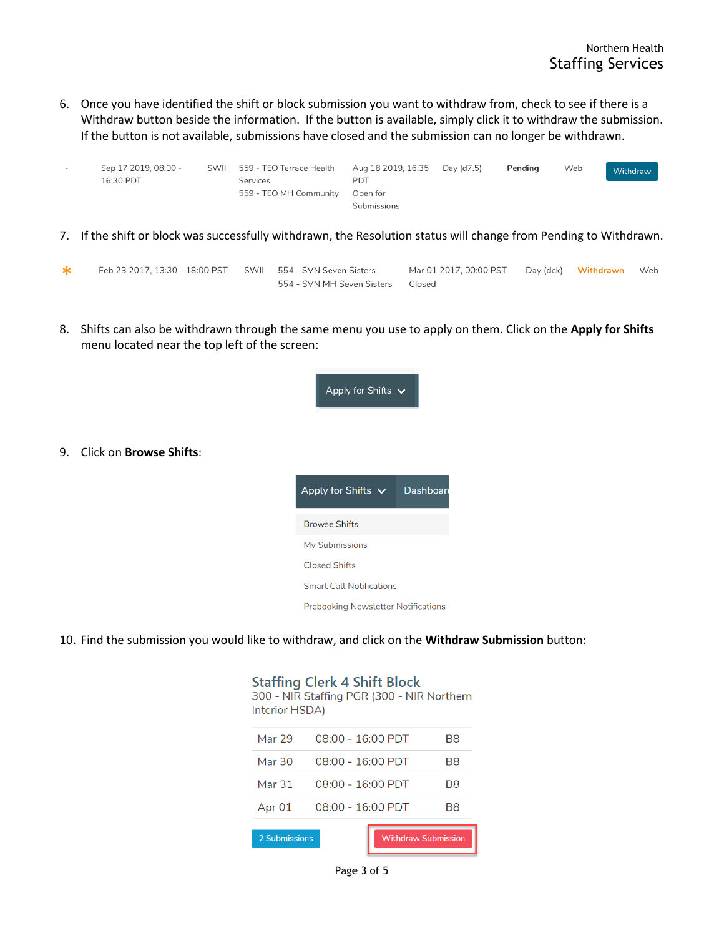6. Once you have identified the shift or block submission you want to withdraw from, check to see if there is a Withdraw button beside the information. If the button is available, simply click it to withdraw the submission. If the button is not available, submissions have closed and the submission can no longer be withdrawn.

| $\sim$ | Sep 17 2019, 08:00 -<br>16:30 PDT | SWII | 559 - TEO Terrace Health<br>Services<br>559 - TEO MH Community | Aug 18 2019, 16:35<br>PDT<br>Open for<br>Submissions | Day (d7.5) | Pending | Web | Withdraw |
|--------|-----------------------------------|------|----------------------------------------------------------------|------------------------------------------------------|------------|---------|-----|----------|
|        |                                   |      |                                                                |                                                      |            |         |     |          |

7. If the shift or block was successfully withdrawn, the Resolution status will change from Pending to Withdrawn.

| Feb 23 2017, 13:30 - 18:00 PST SWII 554 - SVN Seven Sisters |                                         | Mar 01 2017, 00:00 PST Day (dck) Withdrawn Web |  |  |
|-------------------------------------------------------------|-----------------------------------------|------------------------------------------------|--|--|
|                                                             | 554 - SVN MH Seven Sisters       Closed |                                                |  |  |

8. Shifts can also be withdrawn through the same menu you use to apply on them. Click on the **Apply for Shifts** menu located near the top left of the screen:



**Prebooking Newsletter Notifications** 

 $\sim$  200  $\sim$  200  $\sim$  200

10. Find the submission you would like to withdraw, and click on the **Withdraw Submission** button:

9. Click on **Browse Shifts**:

| Interior HSDA) | <b>Staffing Clerk 4 Shift Block</b><br>300 - NIR Staffing PGR (300 - NIR Northern |  |    |  |
|----------------|-----------------------------------------------------------------------------------|--|----|--|
| Mar 29         | 08:00 - 16:00 PDT                                                                 |  | B8 |  |
| Mar 30         | $08:00 - 16:00$ PDT                                                               |  | B8 |  |
| Mar 31         | $08:00 - 16:00$ PDT                                                               |  | B8 |  |
| Apr 01         | 08:00 - 16:00 PDT                                                                 |  | B8 |  |
|                |                                                                                   |  |    |  |
|                | 2 Submissions<br><b>Withdraw Submission</b>                                       |  |    |  |

#### Page 3 of 5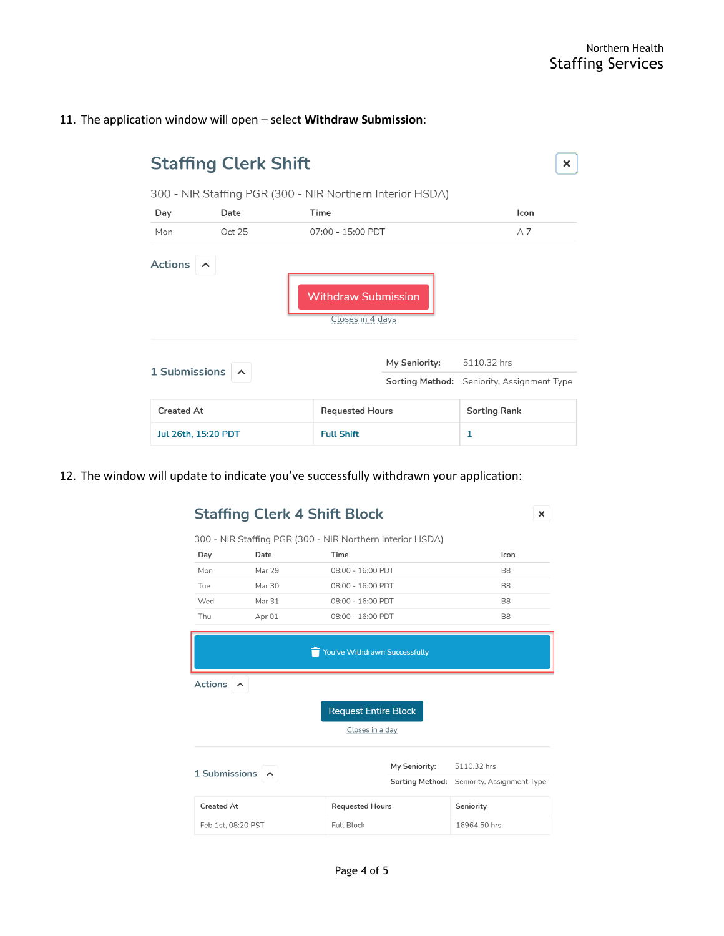#### 11. The application window will open – select **Withdraw Submission**:

| <b>Staffing Clerk Shift</b><br>×                                      |        |                        |               |                                            |  |  |  |
|-----------------------------------------------------------------------|--------|------------------------|---------------|--------------------------------------------|--|--|--|
| 300 - NIR Staffing PGR (300 - NIR Northern Interior HSDA)             |        |                        |               |                                            |  |  |  |
| Day                                                                   | Date   | Time                   |               | Icon                                       |  |  |  |
| Mon                                                                   | Oct 25 | 07:00 - 15:00 PDT      |               | A <sub>7</sub>                             |  |  |  |
| <b>Actions</b><br>ᄉ<br><b>Withdraw Submission</b><br>Closes in 4 days |        |                        |               |                                            |  |  |  |
|                                                                       |        |                        | My Seniority: | 5110.32 hrs                                |  |  |  |
| 1 Submissions                                                         |        |                        |               | Sorting Method: Seniority, Assignment Type |  |  |  |
| Created At                                                            |        | <b>Requested Hours</b> |               | <b>Sorting Rank</b>                        |  |  |  |
| Jul 26th, 15:20 PDT                                                   |        | <b>Full Shift</b>      |               | 1                                          |  |  |  |

12. The window will update to indicate you've successfully withdrawn your application:

# **Staffing Clerk 4 Shift Block**

 $\mathsf{x}$ 

|                | 300 - NIR Staffing PGR (300 - NIR Northern Interior HSDA) |                   |                |  |  |  |  |
|----------------|-----------------------------------------------------------|-------------------|----------------|--|--|--|--|
| Day            | Date                                                      | Time              | Icon           |  |  |  |  |
| Mon            | Mar 29                                                    | 08:00 - 16:00 PDT | <b>B8</b>      |  |  |  |  |
| Tue            | Mar 30                                                    | 08:00 - 16:00 PDT | B <sub>8</sub> |  |  |  |  |
| Wed            | Mar 31                                                    | 08:00 - 16:00 PDT | B <sub>8</sub> |  |  |  |  |
| Thu            | Apr 01                                                    | 08:00 - 16:00 PDT | B <sub>8</sub> |  |  |  |  |
|                |                                                           |                   |                |  |  |  |  |
|                | You've Withdrawn Successfully                             |                   |                |  |  |  |  |
| <b>Actions</b> | ᄉ                                                         |                   |                |  |  |  |  |

**Request Entire Block** 

Closes in a day

| 1 Submissions $\sim$ |                        | My Seniority: | 5110.32 hrs                                |
|----------------------|------------------------|---------------|--------------------------------------------|
|                      |                        |               | Sorting Method: Seniority, Assignment Type |
| Created At           | <b>Requested Hours</b> |               | Seniority                                  |
| Feb 1st, 08:20 PST   | <b>Full Block</b>      |               | 16964.50 hrs                               |